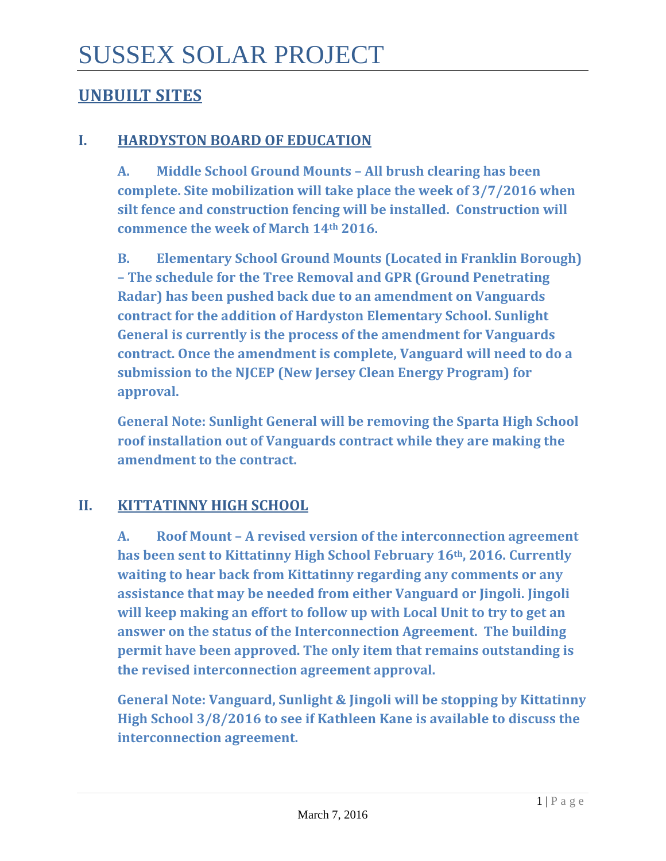# **UNBUILT SITES**

## **I. HARDYSTON BOARD OF EDUCATION**

**A. Middle School Ground Mounts – All brush clearing has been complete. Site mobilization will take place the week of 3/7/2016 when silt fence and construction fencing will be installed. Construction will commence the week of March 14th 2016.**

**B. Elementary School Ground Mounts (Located in Franklin Borough) – The schedule for the Tree Removal and GPR (Ground Penetrating Radar) has been pushed back due to an amendment on Vanguards contract for the addition of Hardyston Elementary School. Sunlight General is currently is the process of the amendment for Vanguards contract. Once the amendment is complete, Vanguard will need to do a submission to the NJCEP (New Jersey Clean Energy Program) for approval.** 

**General Note: Sunlight General will be removing the Sparta High School roof installation out of Vanguards contract while they are making the amendment to the contract.** 

## **II. KITTATINNY HIGH SCHOOL**

**A. Roof Mount – A revised version of the interconnection agreement has been sent to Kittatinny High School February 16th, 2016. Currently waiting to hear back from Kittatinny regarding any comments or any assistance that may be needed from either Vanguard or Jingoli. Jingoli will keep making an effort to follow up with Local Unit to try to get an answer on the status of the Interconnection Agreement. The building permit have been approved. The only item that remains outstanding is the revised interconnection agreement approval.** 

**General Note: Vanguard, Sunlight & Jingoli will be stopping by Kittatinny High School 3/8/2016 to see if Kathleen Kane is available to discuss the interconnection agreement.**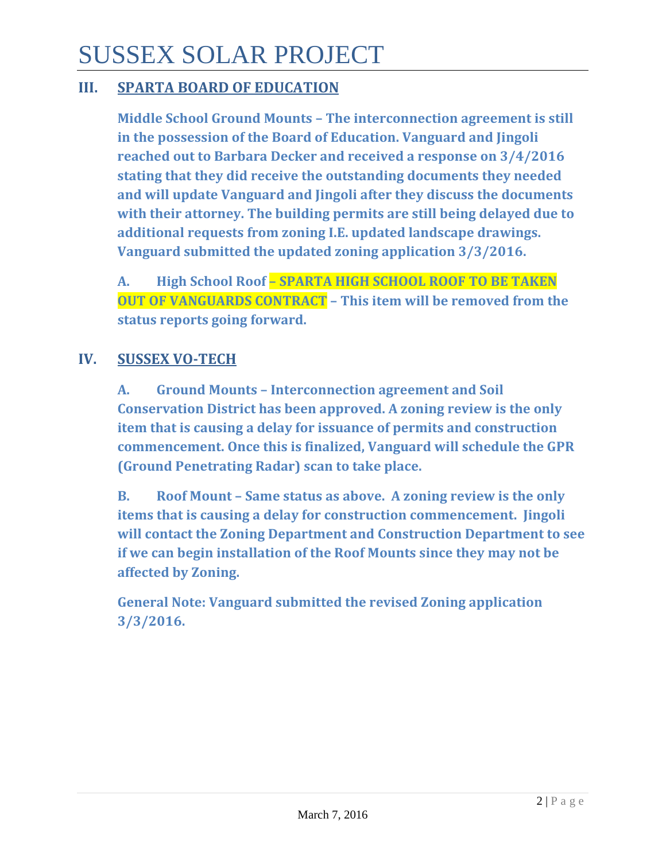# SUSSEX SOLAR PROJECT

## **III. SPARTA BOARD OF EDUCATION**

**Middle School Ground Mounts – The interconnection agreement is still in the possession of the Board of Education. Vanguard and Jingoli reached out to Barbara Decker and received a response on 3/4/2016 stating that they did receive the outstanding documents they needed and will update Vanguard and Jingoli after they discuss the documents with their attorney. The building permits are still being delayed due to additional requests from zoning I.E. updated landscape drawings. Vanguard submitted the updated zoning application 3/3/2016.**

**A. High School Roof – SPARTA HIGH SCHOOL ROOF TO BE TAKEN OUT OF VANGUARDS CONTRACT – This item will be removed from the status reports going forward.**

## **IV. SUSSEX VO-TECH**

**A. Ground Mounts – Interconnection agreement and Soil Conservation District has been approved. A zoning review is the only item that is causing a delay for issuance of permits and construction commencement. Once this is finalized, Vanguard will schedule the GPR (Ground Penetrating Radar) scan to take place.** 

**B. Roof Mount – Same status as above. A zoning review is the only items that is causing a delay for construction commencement. Jingoli will contact the Zoning Department and Construction Department to see if we can begin installation of the Roof Mounts since they may not be affected by Zoning.**

**General Note: Vanguard submitted the revised Zoning application 3/3/2016.**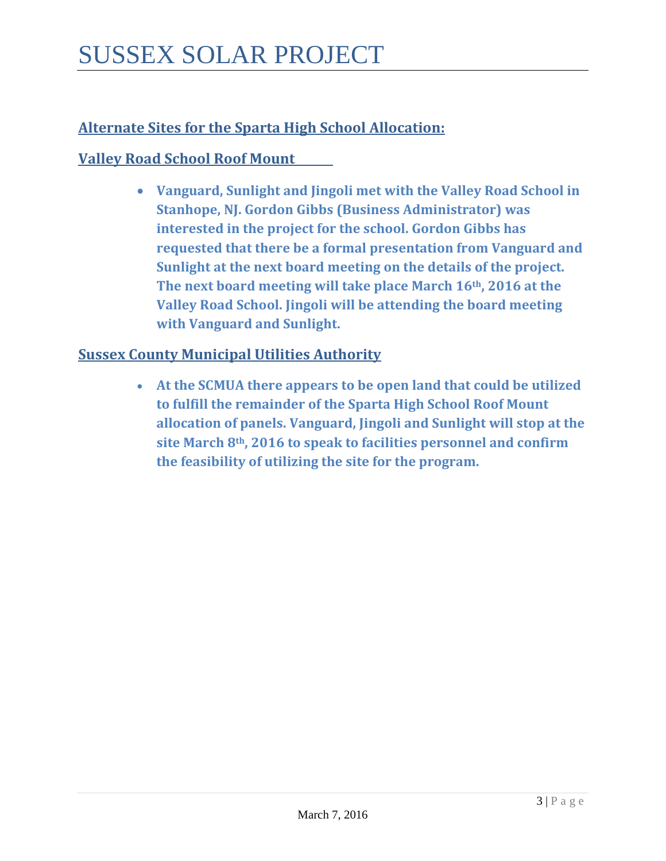## **Alternate Sites for the Sparta High School Allocation:**

## **Valley Road School Roof Mount**

• **Vanguard, Sunlight and Jingoli met with the Valley Road School in Stanhope, NJ. Gordon Gibbs (Business Administrator) was interested in the project for the school. Gordon Gibbs has requested that there be a formal presentation from Vanguard and Sunlight at the next board meeting on the details of the project. The next board meeting will take place March 16th, 2016 at the Valley Road School. Jingoli will be attending the board meeting with Vanguard and Sunlight.** 

## **Sussex County Municipal Utilities Authority**

• **At the SCMUA there appears to be open land that could be utilized to fulfill the remainder of the Sparta High School Roof Mount allocation of panels. Vanguard, Jingoli and Sunlight will stop at the site March 8th, 2016 to speak to facilities personnel and confirm the feasibility of utilizing the site for the program.**